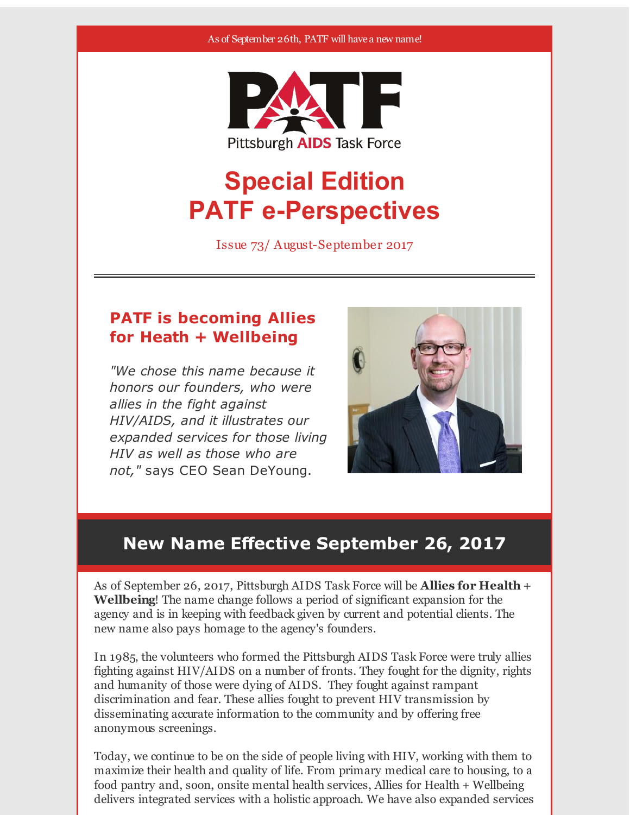#### As of September 26th, PATF will have a new name!



# **Special Edition PATF e-Perspectives**

Issue 73/ August-September 2017

### **PATF is becoming Allies for Heath + Wellbeing**

*"We chose this name because it honors our founders, who were allies in the fight against HIV/AIDS, and it illustrates our expanded services for those living HIV as well as those who are not,"* says CEO Sean DeYoung.



# **New Name Effective September 26, 2017**

As of September 26, 2017, Pittsburgh AIDS Task Force will be **Allies for Health + Wellbeing**! The name change follows a period of significant expansion for the agency and is in keeping with feedback given by current and potential clients. The new name also pays homage to the agency's founders.

In 1985, the volunteers who formed the Pittsburgh AIDS Task Force were truly allies fighting against HIV/AIDS on a number of fronts. They fought for the dignity, rights and humanity of those were dying of AIDS. They fought against rampant discrimination and fear. These allies fought to prevent HIV transmission by disseminating accurate information to the community and by offering free anonymous screenings.

Today, we continue to be on the side of people living with HIV, working with them to maximize their health and quality of life. From primary medical care to housing, to a food pantry and, soon, onsite mental health services, Allies for Health + Wellbeing delivers integrated services with a holistic approach. We have also expanded services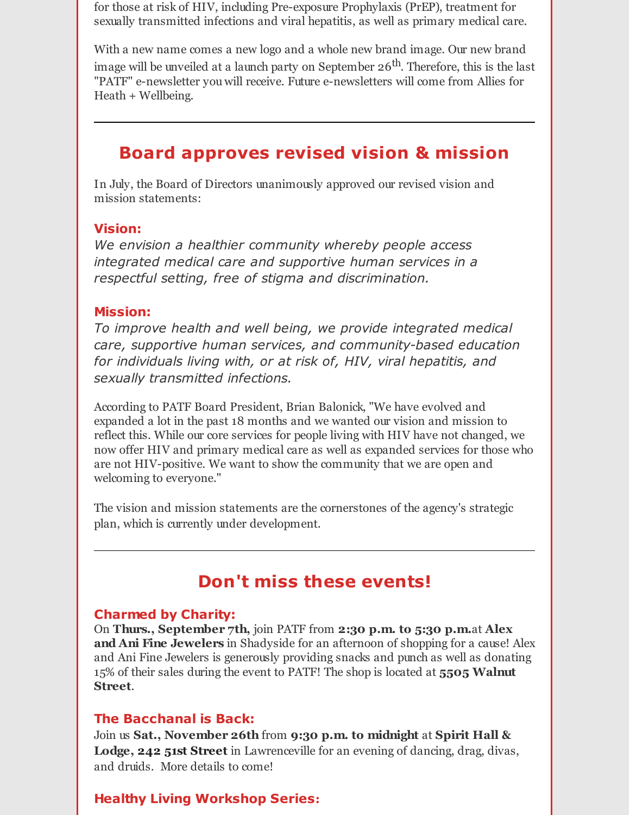for those at risk of HIV, including Pre-exposure Prophylaxis (PrEP), treatment for sexually transmitted infections and viral hepatitis, as well as primary medical care.

With a new name comes a new logo and a whole new brand image. Our new brand image will be unveiled at a launch party on September 26<sup>th</sup>. Therefore, this is the last "PATF" e-newsletter you will receive. Future e-newsletters will come from Allies for Heath + Wellbeing.

# **Board approves revised vision & mission**

In July, the Board of Directors unanimously approved our revised vision and mission statements:

#### **Vision:**

*We envision a healthier community whereby people access integrated medical care and supportive human services in a respectful setting, free of stigma and discrimination.*

#### **Mission:**

*To improve health and well being, we provide integrated medical care, supportive human services, and community-based education for individuals living with, or at risk of, HIV, viral hepatitis, and sexually transmitted infections.*

According to PATF Board President, Brian Balonick, "We have evolved and expanded a lot in the past 18 months and we wanted our vision and mission to reflect this. While our core services for people living with HIV have not changed, we now offer HIV and primary medical care as well as expanded services for those who are not HIV-positive. We want to show the community that we are open and welcoming to everyone."

The vision and mission statements are the cornerstones of the agency's strategic plan, which is currently under development.

# **Don't miss these events!**

### **Charmed by Charity:**

On **Thurs., September 7th,** join PATF from **2:30 p.m. to 5:30 p.m.**at **Alex and Ani Fine Jewelers** in Shadyside for an afternoon of shopping for a cause! Alex and Ani Fine Jewelers is generously providing snacks and punch as well as donating 15% of their sales during the event to PATF! The shop is located at **5505 Walnut Street**.

### **The Bacchanal is Back:**

Join us **Sat., November 26th** from **9:30 p.m. to midnight** at **Spirit Hall & Lodge, 242 51st Street** in Lawrenceville for an evening of dancing, drag, divas, and druids. More details to come!

### **Healthy Living Workshop Series:**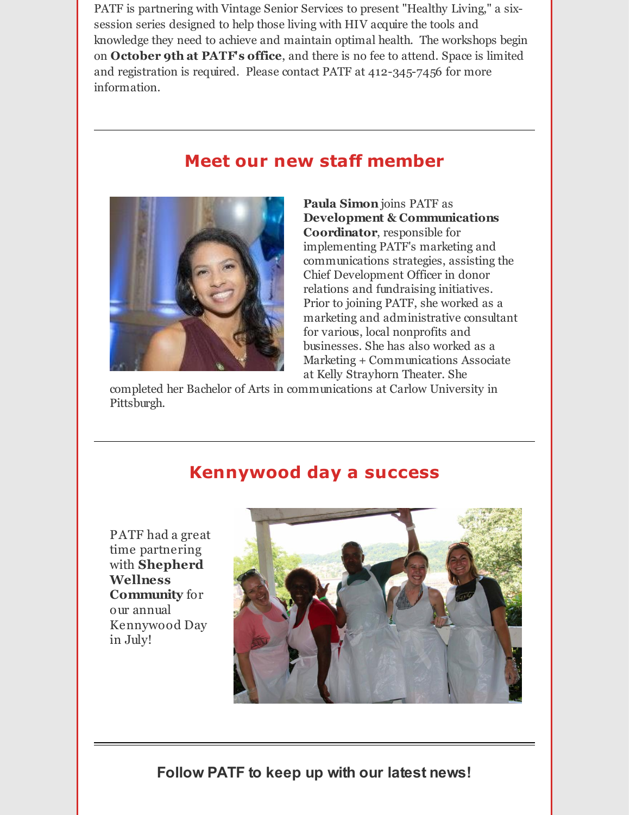PATF is partnering with Vintage Senior Services to present "Healthy Living," a sixsession series designed to help those living with HIV acquire the tools and knowledge they need to achieve and maintain optimal health. The workshops begin on **October 9th at PATF's office**, and there is no fee to attend. Space is limited and registration is required. Please contact PATF at 412-345-7456 for more information.

## **Meet our new staff member**



**Paula Simon** joins PATF as **Development & Communications Coordinator**, responsible for implementing PATF's marketing and communications strategies, assisting the Chief Development Officer in donor relations and fundraising initiatives. Prior to joining PATF, she worked as a marketing and administrative consultant for various, local nonprofits and businesses. She has also worked as a Marketing + Communications Associate at Kelly Strayhorn Theater. She

completed her Bachelor of Arts in communications at Carlow University in Pittsburgh.

### **Kennywood day a success**

PATF had a great time partnering with **Shepherd Wellness Community** for our annual Kennywood Day in July!



**Follow PATF to keep up with our latest news!**